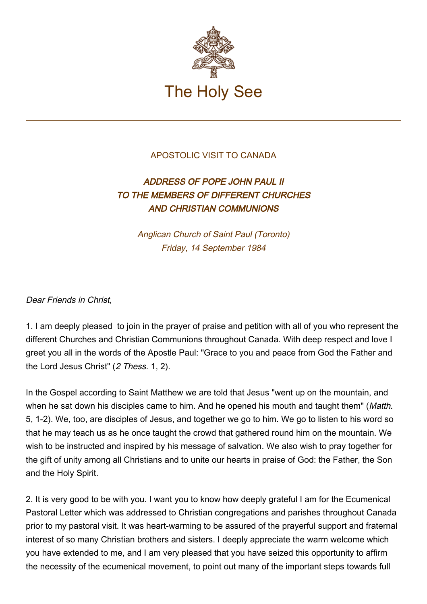

## APOSTOLIC VISIT TO CANADA

## ADDRESS OF POPE JOHN PAUL II TO THE MEMBERS OF DIFFERENT CHURCHES AND CHRISTIAN COMMUNIONS

Anglican Church of Saint Paul (Toronto) Friday, 14 September 1984

## Dear Friends in Christ,

1. I am deeply pleased to join in the prayer of praise and petition with all of you who represent the different Churches and Christian Communions throughout Canada. With deep respect and love I greet you all in the words of the Apostle Paul: "Grace to you and peace from God the Father and the Lord Jesus Christ" (2 Thess. 1, 2).

In the Gospel according to Saint Matthew we are told that Jesus "went up on the mountain, and when he sat down his disciples came to him. And he opened his mouth and taught them" (Matth. 5, 1-2). We, too, are disciples of Jesus, and together we go to him. We go to listen to his word so that he may teach us as he once taught the crowd that gathered round him on the mountain. We wish to be instructed and inspired by his message of salvation. We also wish to pray together for the gift of unity among all Christians and to unite our hearts in praise of God: the Father, the Son and the Holy Spirit.

2. It is very good to be with you. I want you to know how deeply grateful I am for the Ecumenical Pastoral Letter which was addressed to Christian congregations and parishes throughout Canada prior to my pastoral visit. It was heart-warming to be assured of the prayerful support and fraternal interest of so many Christian brothers and sisters. I deeply appreciate the warm welcome which you have extended to me, and I am very pleased that you have seized this opportunity to affirm the necessity of the ecumenical movement, to point out many of the important steps towards full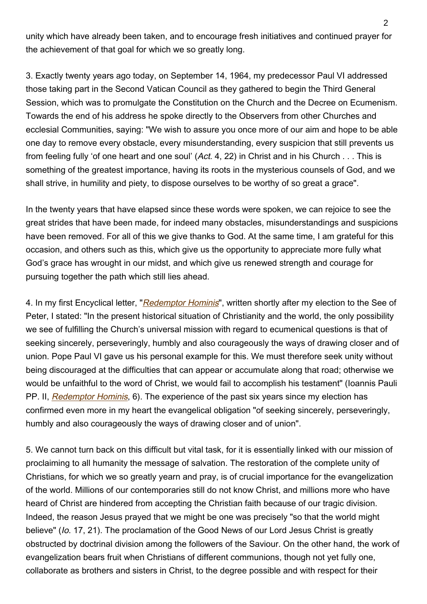unity which have already been taken, and to encourage fresh initiatives and continued prayer for the achievement of that goal for which we so greatly long.

3. Exactly twenty years ago today, on September 14, 1964, my predecessor Paul VI addressed those taking part in the Second Vatican Council as they gathered to begin the Third General Session, which was to promulgate the Constitution on the Church and the Decree on Ecumenism. Towards the end of his address he spoke directly to the Observers from other Churches and ecclesial Communities, saying: "We wish to assure you once more of our aim and hope to be able one day to remove every obstacle, every misunderstanding, every suspicion that still prevents us from feeling fully 'of one heart and one soul' (Act. 4, 22) in Christ and in his Church . . . This is something of the greatest importance, having its roots in the mysterious counsels of God, and we shall strive, in humility and piety, to dispose ourselves to be worthy of so great a grace".

In the twenty years that have elapsed since these words were spoken, we can rejoice to see the great strides that have been made, for indeed many obstacles, misunderstandings and suspicions have been removed. For all of this we give thanks to God. At the same time, I am grateful for this occasion, and others such as this, which give us the opportunity to appreciate more fully what God's grace has wrought in our midst, and which give us renewed strength and courage for pursuing together the path which still lies ahead.

4. In my first Encyclical letter, "[Redemptor Hominis](http://www.vatican.va/edocs/ENG0218/__P7.HTM)", written shortly after my election to the See of Peter, I stated: "In the present historical situation of Christianity and the world, the only possibility we see of fulfilling the Church's universal mission with regard to ecumenical questions is that of seeking sincerely, perseveringly, humbly and also courageously the ways of drawing closer and of union. Pope Paul VI gave us his personal example for this. We must therefore seek unity without being discouraged at the difficulties that can appear or accumulate along that road; otherwise we would be unfaithful to the word of Christ, we would fail to accomplish his testament" (Ioannis Pauli PP. II, [Redemptor Hominis](http://www.vatican.va/edocs/ENG0218/__P7.HTM), 6). The experience of the past six years since my election has confirmed even more in my heart the evangelical obligation "of seeking sincerely, perseveringly, humbly and also courageously the ways of drawing closer and of union".

5. We cannot turn back on this difficult but vital task, for it is essentially linked with our mission of proclaiming to all humanity the message of salvation. The restoration of the complete unity of Christians, for which we so greatly yearn and pray, is of crucial importance for the evangelization of the world. Millions of our contemporaries still do not know Christ, and millions more who have heard of Christ are hindered from accepting the Christian faith because of our tragic division. Indeed, the reason Jesus prayed that we might be one was precisely "so that the world might believe" (Io. 17, 21). The proclamation of the Good News of our Lord Jesus Christ is greatly obstructed by doctrinal division among the followers of the Saviour. On the other hand, the work of evangelization bears fruit when Christians of different communions, though not yet fully one, collaborate as brothers and sisters in Christ, to the degree possible and with respect for their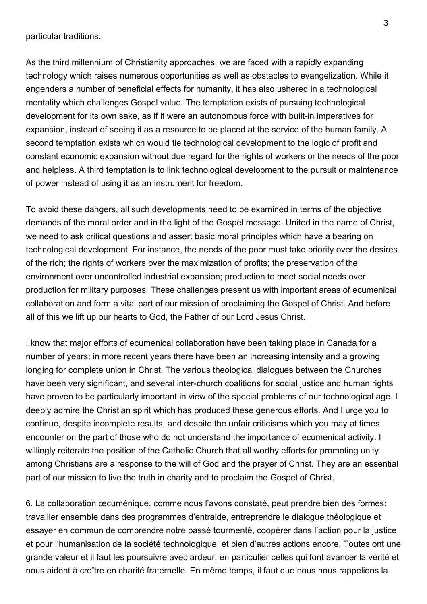particular traditions.

As the third millennium of Christianity approaches, we are faced with a rapidly expanding technology which raises numerous opportunities as well as obstacles to evangelization. While it engenders a number of beneficial effects for humanity, it has also ushered in a technological mentality which challenges Gospel value. The temptation exists of pursuing technological development for its own sake, as if it were an autonomous force with built-in imperatives for expansion, instead of seeing it as a resource to be placed at the service of the human family. A second temptation exists which would tie technological development to the logic of profit and constant economic expansion without due regard for the rights of workers or the needs of the poor and helpless. A third temptation is to link technological development to the pursuit or maintenance of power instead of using it as an instrument for freedom.

To avoid these dangers, all such developments need to be examined in terms of the objective demands of the moral order and in the light of the Gospel message. United in the name of Christ, we need to ask critical questions and assert basic moral principles which have a bearing on technological development. For instance, the needs of the poor must take priority over the desires of the rich; the rights of workers over the maximization of profits; the preservation of the environment over uncontrolled industrial expansion; production to meet social needs over production for military purposes. These challenges present us with important areas of ecumenical collaboration and form a vital part of our mission of proclaiming the Gospel of Christ. And before all of this we lift up our hearts to God, the Father of our Lord Jesus Christ.

I know that major efforts of ecumenical collaboration have been taking place in Canada for a number of years; in more recent years there have been an increasing intensity and a growing longing for complete union in Christ. The various theological dialogues between the Churches have been very significant, and several inter-church coalitions for social justice and human rights have proven to be particularly important in view of the special problems of our technological age. I deeply admire the Christian spirit which has produced these generous efforts. And I urge you to continue, despite incomplete results, and despite the unfair criticisms which you may at times encounter on the part of those who do not understand the importance of ecumenical activity. I willingly reiterate the position of the Catholic Church that all worthy efforts for promoting unity among Christians are a response to the will of God and the prayer of Christ. They are an essential part of our mission to live the truth in charity and to proclaim the Gospel of Christ.

6. La collaboration œcuménique, comme nous l'avons constaté, peut prendre bien des formes: travailler ensemble dans des programmes d'entraide, entreprendre le dialogue théologique et essayer en commun de comprendre notre passé tourmenté, coopérer dans l'action pour la justice et pour l'humanisation de la société technologique, et bien d'autres actions encore. Toutes ont une grande valeur et il faut les poursuivre avec ardeur, en particulier celles qui font avancer la vérité et nous aident à croître en charité fraternelle. En même temps, il faut que nous nous rappelions la